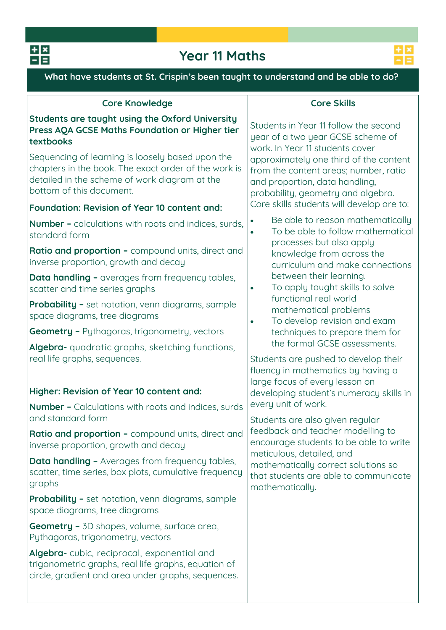

# **Year 11 Maths**



**What have students at St. Crispin's been taught to understand and be able to do?**

| <b>Core Knowledge</b>                                                                                                                                                                                                                                                                                   | <b>Core Skills</b>                                                                                                                                                                                                                                                       |  |  |  |
|---------------------------------------------------------------------------------------------------------------------------------------------------------------------------------------------------------------------------------------------------------------------------------------------------------|--------------------------------------------------------------------------------------------------------------------------------------------------------------------------------------------------------------------------------------------------------------------------|--|--|--|
| Students are taught using the Oxford University<br>Press AQA GCSE Maths Foundation or Higher tier<br>textbooks<br>Sequencing of learning is loosely based upon the<br>chapters in the book. The exact order of the work is<br>detailed in the scheme of work diagram at the<br>bottom of this document. | Students in Year 11 follow the second<br>year of a two year GCSE scheme of<br>work. In Year 11 students cover<br>approximately one third of the content<br>from the content areas; number, ratio<br>and proportion, data handling,<br>probability, geometry and algebra. |  |  |  |
| Foundation: Revision of Year 10 content and:                                                                                                                                                                                                                                                            | Core skills students will develop are to:                                                                                                                                                                                                                                |  |  |  |
| <b>Number -</b> calculations with roots and indices, surds,<br>standard form                                                                                                                                                                                                                            | Be able to reason mathematically<br>To be able to follow mathematical<br>processes but also apply                                                                                                                                                                        |  |  |  |
| Ratio and proportion - compound units, direct and<br>inverse proportion, growth and decay                                                                                                                                                                                                               | knowledge from across the<br>curriculum and make connections                                                                                                                                                                                                             |  |  |  |
| <b>Data handling -</b> averages from frequency tables,<br>scatter and time series graphs                                                                                                                                                                                                                | between their learning.<br>To apply taught skills to solve<br>$\bullet$<br>functional real world                                                                                                                                                                         |  |  |  |
| <b>Probability -</b> set notation, venn diagrams, sample<br>space diagrams, tree diagrams                                                                                                                                                                                                               | mathematical problems<br>To develop revision and exam<br>$\bullet$                                                                                                                                                                                                       |  |  |  |
| <b>Geometry - Pythagoras, trigonometry, vectors</b>                                                                                                                                                                                                                                                     | techniques to prepare them for                                                                                                                                                                                                                                           |  |  |  |
| Algebra- quadratic graphs, sketching functions,<br>real life graphs, sequences.<br>Higher: Revision of Year 10 content and:<br><b>Number -</b> Calculations with roots and indices, surds                                                                                                               | the formal GCSE assessments.<br>Students are pushed to develop their<br>fluency in mathematics by having a<br>large focus of every lesson on<br>developing student's numeracy skills in<br>every unit of work.                                                           |  |  |  |
| and standard form                                                                                                                                                                                                                                                                                       | Students are also given regular                                                                                                                                                                                                                                          |  |  |  |
| Ratio and proportion - compound units, direct and<br>inverse proportion, growth and decay                                                                                                                                                                                                               | feedback and teacher modelling to<br>encourage students to be able to write<br>meticulous, detailed, and                                                                                                                                                                 |  |  |  |
| Data handling - Averages from frequency tables,<br>scatter, time series, box plots, cumulative frequency<br>graphs                                                                                                                                                                                      | mathematically correct solutions so<br>that students are able to communicate<br>mathematically.                                                                                                                                                                          |  |  |  |
| <b>Probability -</b> set notation, venn diagrams, sample<br>space diagrams, tree diagrams                                                                                                                                                                                                               |                                                                                                                                                                                                                                                                          |  |  |  |
| <b>Geometry -</b> 3D shapes, volume, surface area,<br>Pythagoras, trigonometry, vectors                                                                                                                                                                                                                 |                                                                                                                                                                                                                                                                          |  |  |  |
| Algebra-cubic, reciprocal, exponential and<br>trigonometric graphs, real life graphs, equation of<br>circle, gradient and area under graphs, sequences.                                                                                                                                                 |                                                                                                                                                                                                                                                                          |  |  |  |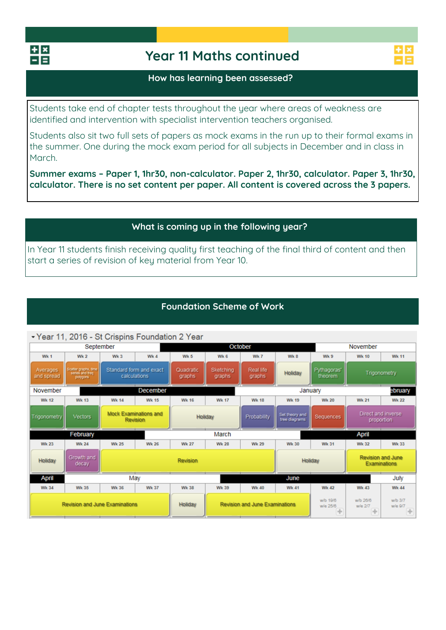

# **Year 11 Maths continued**

### **How has learning been assessed?**

**Students take end of chapter tests throughout the year where areas of weakness are identified and intervention with specialist intervention teachers organised.** 

**Students also sit two full sets of papers as mock exams in the run up to their formal exams in the summer. One during the mock exam period for all subjects in December and in class in March.** 

**Summer exams – Paper 1, 1hr30, non-calculator. Paper 2, 1hr30, calculator. Paper 3, 1hr30, calculator. There is no set content per paper. All content is covered across the 3 papers.** 

## **What is coming up in the following year?**

**In Year 11 students finish receiving quality first teaching of the final third of content and then start a series of revision of key material from Year 10.** 

## **Foundation Scheme of Work**

### Year 11, 2016 - St Crispins Foundation 2 Year

| September                   |                                                     |                                          | October                                 |                     |                            |                     | November                        |                        |                                  |                                                 |
|-----------------------------|-----------------------------------------------------|------------------------------------------|-----------------------------------------|---------------------|----------------------------|---------------------|---------------------------------|------------------------|----------------------------------|-------------------------------------------------|
| Wk 1                        | <b>Wk 2</b>                                         | Wk <sub>3</sub>                          | Wk 4                                    | <b>Wk 5</b>         | Wk 6                       | Wk 7                | Wk 8                            | Wk 9                   | <b>Wk 10</b>                     | <b>Wk 11</b>                                    |
| Averages<br>and spread      | Scatter graphs, time<br>series and freq<br>polygons |                                          | Standard form and exact<br>calculations | Quadratic<br>graphs | <b>Sketching</b><br>graphs | Real life<br>graphs | <b>Holiday</b>                  | Pythagoras'<br>theorem |                                  | Trigonometry                                    |
| <b>December</b><br>November |                                                     |                                          |                                         |                     |                            |                     | ebruary<br>January              |                        |                                  |                                                 |
| <b>Wk 12</b>                | <b>Wk 13</b>                                        | <b>Wk 14</b>                             | <b>Wk 15</b>                            | <b>Wk 16</b>        | <b>Wk 17</b>               | <b>Wk 18</b>        | <b>Wk 19</b>                    | <b>Wk 20</b>           | <b>Wk 21</b>                     | <b>Wk 22</b>                                    |
| <b>Trigonometry</b>         | <b>Vectors</b>                                      | Mock Examinations and<br><b>Revision</b> |                                         | <b>Holiday</b>      |                            | Probability         | Set theory and<br>tree diagrams | <b>Sequences</b>       | Direct and inverse<br>proportion |                                                 |
| February                    |                                                     |                                          |                                         |                     |                            |                     |                                 |                        |                                  |                                                 |
|                             |                                                     |                                          |                                         |                     | March                      |                     |                                 |                        | April                            |                                                 |
| <b>Wk 23</b>                | <b>Wk 24</b>                                        | <b>Wk 25</b>                             | <b>Wk 26</b>                            | <b>Wk 27</b>        | <b>Wk 28</b>               | <b>Wk 29</b>        | <b>Wk 30</b>                    | <b>Wk 31</b>           | <b>Wk 32</b>                     | <b>Wk 33</b>                                    |
| <b>Holiday</b>              | Growth and<br>decay                                 |                                          |                                         | <b>Revision</b>     |                            |                     |                                 | <b>Holiday</b>         |                                  | <b>Revision and June</b><br><b>Examinations</b> |
| April                       |                                                     |                                          | May                                     |                     |                            |                     | June                            |                        |                                  | July                                            |
| <b>Wk 34</b>                | <b>Wk 35</b>                                        | <b>Wk 36</b>                             | <b>Wk 37</b>                            | <b>Wk 38</b>        | <b>Wk 39</b>               | <b>Wk 40</b>        | <b>Wk 41</b>                    | <b>Wk 42</b>           | <b>Wk 43</b>                     | <b>Wk 44</b>                                    |